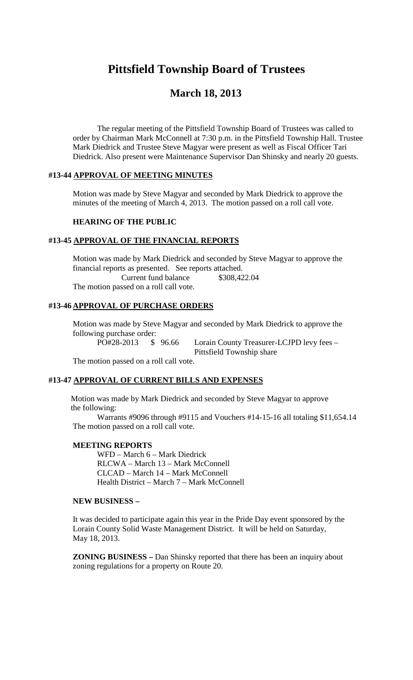# **Pittsfield Township Board of Trustees**

## **March 18, 2013**

The regular meeting of the Pittsfield Township Board of Trustees was called to order by Chairman Mark McConnell at 7:30 p.m. in the Pittsfield Township Hall. Trustee Mark Diedrick and Trustee Steve Magyar were present as well as Fiscal Officer Tari Diedrick. Also present were Maintenance Supervisor Dan Shinsky and nearly 20 guests.

#### **#13-44 APPROVAL OF MEETING MINUTES**

Motion was made by Steve Magyar and seconded by Mark Diedrick to approve the minutes of the meeting of March 4, 2013. The motion passed on a roll call vote.

#### **HEARING OF THE PUBLIC**

#### **#13-45 APPROVAL OF THE FINANCIAL REPORTS**

Motion was made by Mark Diedrick and seconded by Steve Magyar to approve the financial reports as presented. See reports attached. Current fund balance \$308,422.04 The motion passed on a roll call vote.

### **#13-46 APPROVAL OF PURCHASE ORDERS**

Motion was made by Steve Magyar and seconded by Mark Diedrick to approve the following purchase order:

PO#28-2013 \$ 96.66 Lorain County Treasurer-LCJPD levy fees –

Pittsfield Township share

The motion passed on a roll call vote.

#### **#13-47 APPROVAL OF CURRENT BILLS AND EXPENSES**

Motion was made by Mark Diedrick and seconded by Steve Magyar to approve the following:

Warrants #9096 through #9115 and Vouchers #14-15-16 all totaling \$11,654.14 The motion passed on a roll call vote.

#### **MEETING REPORTS**

WFD – March 6 – Mark Diedrick RLCWA – March 13 – Mark McConnell CLCAD – March 14 – Mark McConnell Health District – March 7 – Mark McConnell

#### **NEW BUSINESS –**

It was decided to participate again this year in the Pride Day event sponsored by the Lorain County Solid Waste Management District. It will be held on Saturday, May 18, 2013.

**ZONING BUSINESS –** Dan Shinsky reported that there has been an inquiry about zoning regulations for a property on Route 20.